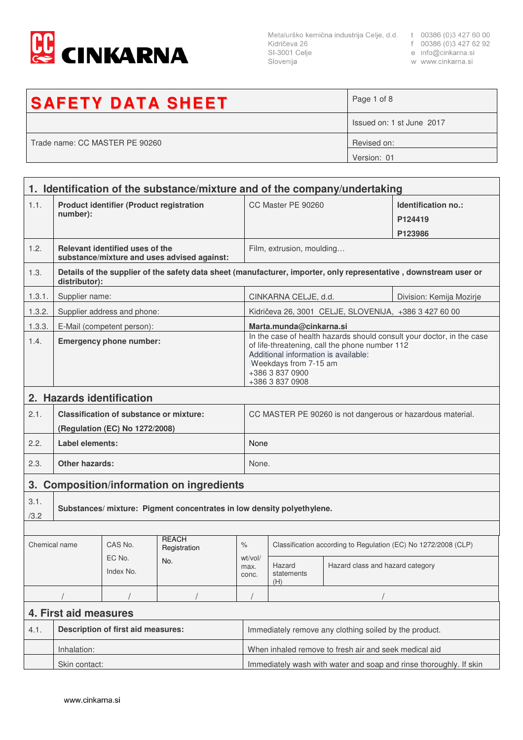

Slovenija

- 
- 
- w www.cinkarna.si

| <b>SAFETY DATA SHEET</b>       | Page 1 of 8               |
|--------------------------------|---------------------------|
|                                | Issued on: 1 st June 2017 |
| Trade name: CC MASTER PE 90260 | Revised on:               |
|                                | Version: 01               |

|                                                     | 1. Identification of the substance/mixture and of the company/undertaking                                                          |                                                |                                                                        |                                                        |                                                                                                                                                                                                                                |                                  |                                |
|-----------------------------------------------------|------------------------------------------------------------------------------------------------------------------------------------|------------------------------------------------|------------------------------------------------------------------------|--------------------------------------------------------|--------------------------------------------------------------------------------------------------------------------------------------------------------------------------------------------------------------------------------|----------------------------------|--------------------------------|
| 1.1.                                                | <b>Product identifier (Product registration</b><br>number):                                                                        |                                                |                                                                        |                                                        | CC Master PE 90260                                                                                                                                                                                                             |                                  | Identification no.:<br>P124419 |
|                                                     |                                                                                                                                    |                                                |                                                                        |                                                        |                                                                                                                                                                                                                                |                                  | P123986                        |
| 1.2.                                                | Relevant identified uses of the<br>substance/mixture and uses advised against:                                                     |                                                |                                                                        |                                                        | Film, extrusion, moulding                                                                                                                                                                                                      |                                  |                                |
| 1.3.                                                | Details of the supplier of the safety data sheet (manufacturer, importer, only representative, downstream user or<br>distributor): |                                                |                                                                        |                                                        |                                                                                                                                                                                                                                |                                  |                                |
| 1.3.1.                                              | Supplier name:                                                                                                                     |                                                |                                                                        |                                                        | CINKARNA CELJE, d.d.<br>Division: Kemija Mozirje                                                                                                                                                                               |                                  |                                |
| 1.3.2.                                              |                                                                                                                                    | Supplier address and phone:                    |                                                                        |                                                        | Kidričeva 26, 3001 CELJE, SLOVENIJA, +386 3 427 60 00                                                                                                                                                                          |                                  |                                |
| 1.3.3.                                              |                                                                                                                                    | E-Mail (competent person):                     |                                                                        |                                                        | Marta.munda@cinkarna.si                                                                                                                                                                                                        |                                  |                                |
| 1.4.                                                | <b>Emergency phone number:</b>                                                                                                     |                                                |                                                                        |                                                        | In the case of health hazards should consult your doctor, in the case<br>of life-threatening, call the phone number 112<br>Additional information is available:<br>Weekdays from 7-15 am<br>+386 3 837 0900<br>+386 3 837 0908 |                                  |                                |
| 2. Hazards identification                           |                                                                                                                                    |                                                |                                                                        |                                                        |                                                                                                                                                                                                                                |                                  |                                |
| 2.1.                                                |                                                                                                                                    | <b>Classification of substance or mixture:</b> |                                                                        |                                                        | CC MASTER PE 90260 is not dangerous or hazardous material.                                                                                                                                                                     |                                  |                                |
|                                                     | (Regulation (EC) No 1272/2008)                                                                                                     |                                                |                                                                        |                                                        |                                                                                                                                                                                                                                |                                  |                                |
| 2.2.                                                | Label elements:                                                                                                                    |                                                |                                                                        |                                                        | None                                                                                                                                                                                                                           |                                  |                                |
| 2.3.                                                | <b>Other hazards:</b>                                                                                                              |                                                |                                                                        |                                                        | None.                                                                                                                                                                                                                          |                                  |                                |
| <b>Composition/information on ingredients</b><br>3. |                                                                                                                                    |                                                |                                                                        |                                                        |                                                                                                                                                                                                                                |                                  |                                |
| 3.1.<br>/3.2                                        |                                                                                                                                    |                                                | Substances/ mixture: Pigment concentrates in low density polyethylene. |                                                        |                                                                                                                                                                                                                                |                                  |                                |
|                                                     |                                                                                                                                    |                                                |                                                                        |                                                        |                                                                                                                                                                                                                                |                                  |                                |
| Chemical name                                       |                                                                                                                                    | CAS No.                                        | <b>REACH</b><br>Registration                                           | $\frac{1}{\sqrt{2}}$                                   | Classification according to Regulation (EC) No 1272/2008 (CLP)                                                                                                                                                                 |                                  |                                |
|                                                     |                                                                                                                                    | EC No.<br>Index No.                            | No.                                                                    | wt/vol/<br>max.<br>conc.                               | Hazard<br>statements<br>(H)                                                                                                                                                                                                    | Hazard class and hazard category |                                |
|                                                     |                                                                                                                                    |                                                |                                                                        |                                                        |                                                                                                                                                                                                                                |                                  |                                |
| 4. First aid measures                               |                                                                                                                                    |                                                |                                                                        |                                                        |                                                                                                                                                                                                                                |                                  |                                |
| 4.1.                                                | <b>Description of first aid measures:</b>                                                                                          |                                                |                                                                        | Immediately remove any clothing soiled by the product. |                                                                                                                                                                                                                                |                                  |                                |
|                                                     | Inhalation:                                                                                                                        |                                                |                                                                        |                                                        | When inhaled remove to fresh air and seek medical aid                                                                                                                                                                          |                                  |                                |
|                                                     | Skin contact:                                                                                                                      |                                                |                                                                        |                                                        | Immediately wash with water and soap and rinse thoroughly. If skin                                                                                                                                                             |                                  |                                |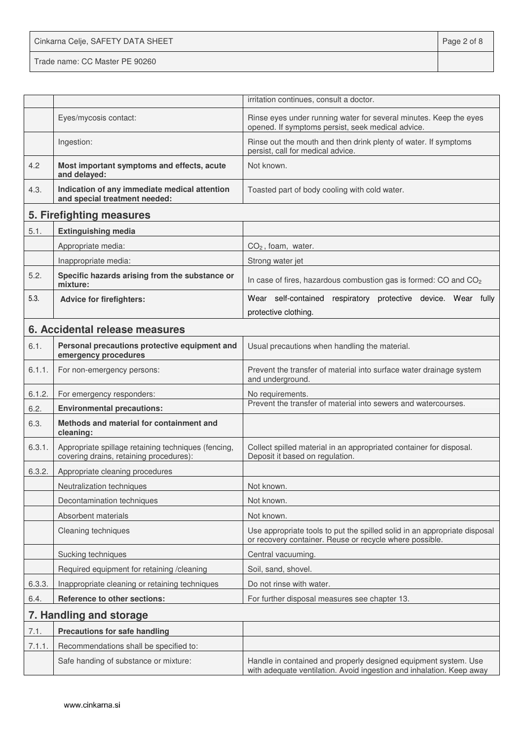Cinkarna Celje, SAFETY DATA SHEET **Page 2 of 8** Trade name: CC Master PE 90260

|        |                                                                                                | irritation continues, consult a doctor.                                                                                                 |
|--------|------------------------------------------------------------------------------------------------|-----------------------------------------------------------------------------------------------------------------------------------------|
|        | Eyes/mycosis contact:                                                                          | Rinse eyes under running water for several minutes. Keep the eyes<br>opened. If symptoms persist, seek medical advice.                  |
|        | Ingestion:                                                                                     | Rinse out the mouth and then drink plenty of water. If symptoms<br>persist, call for medical advice.                                    |
| 4.2    | Most important symptoms and effects, acute<br>and delayed:                                     | Not known.                                                                                                                              |
| 4.3.   | Indication of any immediate medical attention<br>and special treatment needed:                 | Toasted part of body cooling with cold water.                                                                                           |
|        | 5. Firefighting measures                                                                       |                                                                                                                                         |
| 5.1.   | <b>Extinguishing media</b>                                                                     |                                                                                                                                         |
|        | Appropriate media:                                                                             | $CO2$ , foam, water.                                                                                                                    |
|        | Inappropriate media:                                                                           | Strong water jet                                                                                                                        |
| 5.2.   | Specific hazards arising from the substance or<br>mixture:                                     | In case of fires, hazardous combustion gas is formed: CO and CO <sub>2</sub>                                                            |
| 5.3.   | <b>Advice for firefighters:</b>                                                                | Wear self-contained respiratory protective device. Wear fully                                                                           |
|        |                                                                                                | protective clothing.                                                                                                                    |
|        | 6. Accidental release measures                                                                 |                                                                                                                                         |
| 6.1.   | Personal precautions protective equipment and<br>emergency procedures                          | Usual precautions when handling the material.                                                                                           |
| 6.1.1. | For non-emergency persons:                                                                     | Prevent the transfer of material into surface water drainage system<br>and underground.                                                 |
| 6.1.2. | For emergency responders:                                                                      | No requirements.                                                                                                                        |
| 6.2.   | <b>Environmental precautions:</b>                                                              | Prevent the transfer of material into sewers and watercourses.                                                                          |
| 6.3.   | Methods and material for containment and<br>cleaning:                                          |                                                                                                                                         |
| 6.3.1. | Appropriate spillage retaining techniques (fencing,<br>covering drains, retaining procedures): | Collect spilled material in an appropriated container for disposal.<br>Deposit it based on regulation.                                  |
| 6.3.2. | Appropriate cleaning procedures                                                                |                                                                                                                                         |
|        | Neutralization techniques                                                                      | Not known.                                                                                                                              |
|        | Decontamination techniques                                                                     | Not known.                                                                                                                              |
|        | Absorbent materials                                                                            | Not known.                                                                                                                              |
|        | Cleaning techniques                                                                            | Use appropriate tools to put the spilled solid in an appropriate disposal<br>or recovery container. Reuse or recycle where possible.    |
|        | Sucking techniques                                                                             | Central vacuuming.                                                                                                                      |
|        | Required equipment for retaining /cleaning                                                     | Soil, sand, shovel.                                                                                                                     |
| 6.3.3. | Inappropriate cleaning or retaining techniques                                                 | Do not rinse with water.                                                                                                                |
| 6.4.   | Reference to other sections:                                                                   | For further disposal measures see chapter 13.                                                                                           |
|        | 7. Handling and storage                                                                        |                                                                                                                                         |
| 7.1.   | <b>Precautions for safe handling</b>                                                           |                                                                                                                                         |
| 7.1.1. | Recommendations shall be specified to:                                                         |                                                                                                                                         |
|        | Safe handing of substance or mixture:                                                          | Handle in contained and properly designed equipment system. Use<br>with adequate ventilation. Avoid ingestion and inhalation. Keep away |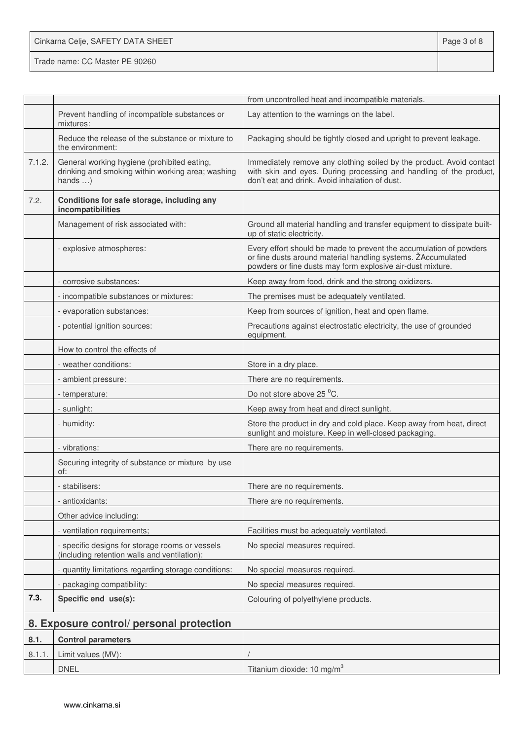Cinkarna Celje, SAFETY DATA SHEET **Page 3 of 8** 

Trade name: CC Master PE 90260

|        |                                                                                                                     | from uncontrolled heat and incompatible materials.                                                                                                                                               |
|--------|---------------------------------------------------------------------------------------------------------------------|--------------------------------------------------------------------------------------------------------------------------------------------------------------------------------------------------|
|        | Prevent handling of incompatible substances or<br>mixtures:                                                         | Lay attention to the warnings on the label.                                                                                                                                                      |
|        | Reduce the release of the substance or mixture to<br>the environment:                                               | Packaging should be tightly closed and upright to prevent leakage.                                                                                                                               |
| 7.1.2. | General working hygiene (prohibited eating,<br>drinking and smoking within working area; washing<br>hands $\dots$ ) | Immediately remove any clothing soiled by the product. Avoid contact<br>with skin and eyes. During processing and handling of the product,<br>don't eat and drink. Avoid inhalation of dust.     |
| 7.2.   | Conditions for safe storage, including any<br>incompatibilities                                                     |                                                                                                                                                                                                  |
|        | Management of risk associated with:                                                                                 | Ground all material handling and transfer equipment to dissipate built-<br>up of static electricity.                                                                                             |
|        | - explosive atmospheres:                                                                                            | Every effort should be made to prevent the accumulation of powders<br>or fine dusts around material handling systems. ZAccumulated<br>powders or fine dusts may form explosive air-dust mixture. |
|        | - corrosive substances:                                                                                             | Keep away from food, drink and the strong oxidizers.                                                                                                                                             |
|        | - incompatible substances or mixtures:                                                                              | The premises must be adequately ventilated.                                                                                                                                                      |
|        | - evaporation substances:                                                                                           | Keep from sources of ignition, heat and open flame.                                                                                                                                              |
|        | - potential ignition sources:                                                                                       | Precautions against electrostatic electricity, the use of grounded<br>equipment.                                                                                                                 |
|        | How to control the effects of                                                                                       |                                                                                                                                                                                                  |
|        | - weather conditions:                                                                                               | Store in a dry place.                                                                                                                                                                            |
|        | - ambient pressure:                                                                                                 | There are no requirements.                                                                                                                                                                       |
|        | - temperature:                                                                                                      | Do not store above 25 °C.                                                                                                                                                                        |
|        | - sunlight:                                                                                                         | Keep away from heat and direct sunlight.                                                                                                                                                         |
|        | - humidity:                                                                                                         | Store the product in dry and cold place. Keep away from heat, direct<br>sunlight and moisture. Keep in well-closed packaging.                                                                    |
|        | - vibrations:                                                                                                       | There are no requirements.                                                                                                                                                                       |
|        | Securing integrity of substance or mixture by use<br>of:                                                            |                                                                                                                                                                                                  |
|        | stabilisers:                                                                                                        | There are no requirements.                                                                                                                                                                       |
|        | - antioxidants:                                                                                                     | There are no requirements.                                                                                                                                                                       |
|        | Other advice including:                                                                                             |                                                                                                                                                                                                  |
|        | - ventilation requirements;                                                                                         | Facilities must be adequately ventilated.                                                                                                                                                        |
|        | - specific designs for storage rooms or vessels<br>(including retention walls and ventilation):                     | No special measures required.                                                                                                                                                                    |
|        | - quantity limitations regarding storage conditions:                                                                | No special measures required.                                                                                                                                                                    |
|        | - packaging compatibility:                                                                                          | No special measures required.                                                                                                                                                                    |
| 7.3.   | Specific end use(s):                                                                                                | Colouring of polyethylene products.                                                                                                                                                              |
|        | 8. Exposure control/ personal protection                                                                            |                                                                                                                                                                                                  |
| 8.1.   | <b>Control parameters</b>                                                                                           |                                                                                                                                                                                                  |
| 8.1.1. | Limit values (MV):                                                                                                  |                                                                                                                                                                                                  |
|        | <b>DNEL</b>                                                                                                         | Titanium dioxide: 10 mg/m <sup>3</sup>                                                                                                                                                           |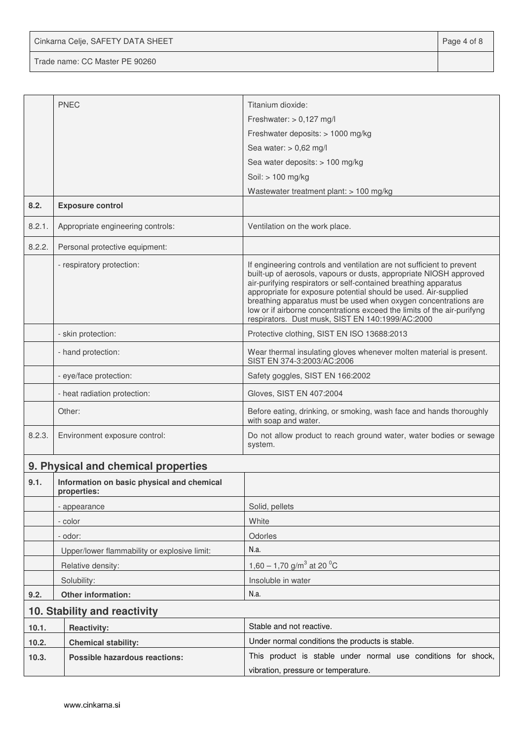Cinkarna Celje, SAFETY DATA SHEET **Page 4 of 8** 

Trade name: CC Master PE 90260

|        | <b>PNEC</b>                                                                                           | Titanium dioxide:                                                                                                                                                                                                                                                                                                                                                                                                                                                                   |  |  |
|--------|-------------------------------------------------------------------------------------------------------|-------------------------------------------------------------------------------------------------------------------------------------------------------------------------------------------------------------------------------------------------------------------------------------------------------------------------------------------------------------------------------------------------------------------------------------------------------------------------------------|--|--|
|        |                                                                                                       | Freshwater: $> 0,127$ mg/l                                                                                                                                                                                                                                                                                                                                                                                                                                                          |  |  |
|        |                                                                                                       | Freshwater deposits: > 1000 mg/kg                                                                                                                                                                                                                                                                                                                                                                                                                                                   |  |  |
|        |                                                                                                       | Sea water: $> 0.62$ mg/l                                                                                                                                                                                                                                                                                                                                                                                                                                                            |  |  |
|        |                                                                                                       | Sea water deposits: > 100 mg/kg                                                                                                                                                                                                                                                                                                                                                                                                                                                     |  |  |
|        |                                                                                                       | Soil: > 100 mg/kg                                                                                                                                                                                                                                                                                                                                                                                                                                                                   |  |  |
|        |                                                                                                       | Wastewater treatment plant: > 100 mg/kg                                                                                                                                                                                                                                                                                                                                                                                                                                             |  |  |
| 8.2.   | <b>Exposure control</b>                                                                               |                                                                                                                                                                                                                                                                                                                                                                                                                                                                                     |  |  |
| 8.2.1. | Appropriate engineering controls:                                                                     | Ventilation on the work place.                                                                                                                                                                                                                                                                                                                                                                                                                                                      |  |  |
| 8.2.2. | Personal protective equipment:                                                                        |                                                                                                                                                                                                                                                                                                                                                                                                                                                                                     |  |  |
|        | - respiratory protection:                                                                             | If engineering controls and ventilation are not sufficient to prevent<br>built-up of aerosols, vapours or dusts, appropriate NIOSH approved<br>air-purifying respirators or self-contained breathing apparatus<br>appropriate for exposure potential should be used. Air-supplied<br>breathing apparatus must be used when oxygen concentrations are<br>low or if airborne concentrations exceed the limits of the air-purifyng<br>respirators. Dust musk, SIST EN 140:1999/AC:2000 |  |  |
|        | - skin protection:                                                                                    | Protective clothing, SIST EN ISO 13688:2013                                                                                                                                                                                                                                                                                                                                                                                                                                         |  |  |
|        | - hand protection:                                                                                    | Wear thermal insulating gloves whenever molten material is present.<br>SIST EN 374-3:2003/AC:2006                                                                                                                                                                                                                                                                                                                                                                                   |  |  |
|        | - eye/face protection:                                                                                | Safety goggles, SIST EN 166:2002                                                                                                                                                                                                                                                                                                                                                                                                                                                    |  |  |
|        | - heat radiation protection:                                                                          | Gloves, SIST EN 407:2004                                                                                                                                                                                                                                                                                                                                                                                                                                                            |  |  |
|        | Other:                                                                                                | Before eating, drinking, or smoking, wash face and hands thoroughly<br>with soap and water.                                                                                                                                                                                                                                                                                                                                                                                         |  |  |
| 8.2.3. | Environment exposure control:                                                                         | Do not allow product to reach ground water, water bodies or sewage<br>system.                                                                                                                                                                                                                                                                                                                                                                                                       |  |  |
|        | 9. Physical and chemical properties                                                                   |                                                                                                                                                                                                                                                                                                                                                                                                                                                                                     |  |  |
| 9.1.   | Information on basic physical and chemical<br>properties:                                             |                                                                                                                                                                                                                                                                                                                                                                                                                                                                                     |  |  |
|        | - appearance                                                                                          | Solid, pellets                                                                                                                                                                                                                                                                                                                                                                                                                                                                      |  |  |
|        | - color                                                                                               | White                                                                                                                                                                                                                                                                                                                                                                                                                                                                               |  |  |
|        | - odor:                                                                                               | Odorles                                                                                                                                                                                                                                                                                                                                                                                                                                                                             |  |  |
|        | Upper/lower flammability or explosive limit:                                                          | N.a.                                                                                                                                                                                                                                                                                                                                                                                                                                                                                |  |  |
|        | Relative density:                                                                                     | 1,60 – 1,70 g/m <sup>3</sup> at 20 <sup>o</sup> C                                                                                                                                                                                                                                                                                                                                                                                                                                   |  |  |
|        | Solubility:                                                                                           | Insoluble in water                                                                                                                                                                                                                                                                                                                                                                                                                                                                  |  |  |
| 9.2.   | Other information:                                                                                    | N.a.                                                                                                                                                                                                                                                                                                                                                                                                                                                                                |  |  |
|        | 10. Stability and reactivity                                                                          |                                                                                                                                                                                                                                                                                                                                                                                                                                                                                     |  |  |
| 10.1.  | <b>Reactivity:</b>                                                                                    | Stable and not reactive.                                                                                                                                                                                                                                                                                                                                                                                                                                                            |  |  |
| 10.2.  | <b>Chemical stability:</b>                                                                            | Under normal conditions the products is stable.                                                                                                                                                                                                                                                                                                                                                                                                                                     |  |  |
| 10.3.  | This product is stable under normal use conditions for shock,<br><b>Possible hazardous reactions:</b> |                                                                                                                                                                                                                                                                                                                                                                                                                                                                                     |  |  |
|        |                                                                                                       | vibration, pressure or temperature.                                                                                                                                                                                                                                                                                                                                                                                                                                                 |  |  |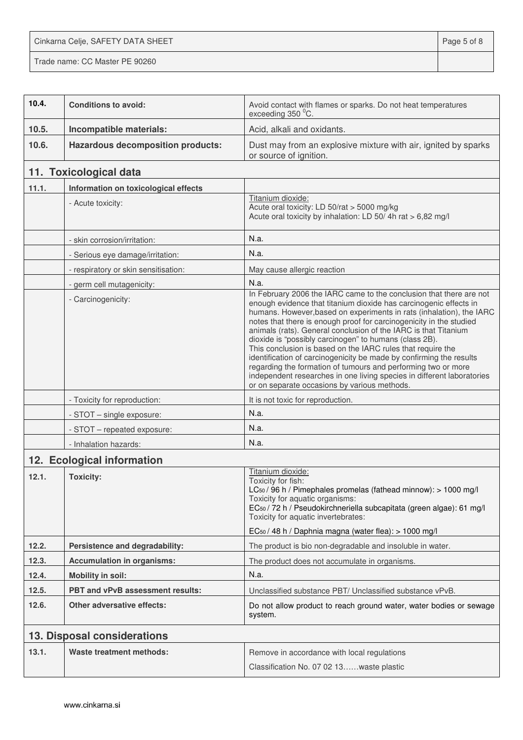Cinkarna Celje, SAFETY DATA SHEET **Page 5 of 8** 

Trade name: CC Master PE 90260

| 10.4. | <b>Conditions to avoid:</b>              | Avoid contact with flames or sparks. Do not heat temperatures<br>exceeding 350 °C.                                                                                                                                                                                                                                                                                                                                                                                                                                                                                                                                                                                                                                                                    |
|-------|------------------------------------------|-------------------------------------------------------------------------------------------------------------------------------------------------------------------------------------------------------------------------------------------------------------------------------------------------------------------------------------------------------------------------------------------------------------------------------------------------------------------------------------------------------------------------------------------------------------------------------------------------------------------------------------------------------------------------------------------------------------------------------------------------------|
| 10.5. | Incompatible materials:                  | Acid, alkali and oxidants.                                                                                                                                                                                                                                                                                                                                                                                                                                                                                                                                                                                                                                                                                                                            |
| 10.6. | <b>Hazardous decomposition products:</b> | Dust may from an explosive mixture with air, ignited by sparks<br>or source of ignition.                                                                                                                                                                                                                                                                                                                                                                                                                                                                                                                                                                                                                                                              |
|       | 11. Toxicological data                   |                                                                                                                                                                                                                                                                                                                                                                                                                                                                                                                                                                                                                                                                                                                                                       |
| 11.1. | Information on toxicological effects     |                                                                                                                                                                                                                                                                                                                                                                                                                                                                                                                                                                                                                                                                                                                                                       |
|       | - Acute toxicity:                        | Titanium dioxide:<br>Acute oral toxicity: LD 50/rat > 5000 mg/kg<br>Acute oral toxicity by inhalation: LD 50/4h rat > 6,82 mg/l                                                                                                                                                                                                                                                                                                                                                                                                                                                                                                                                                                                                                       |
|       | - skin corrosion/irritation:             | N.a.                                                                                                                                                                                                                                                                                                                                                                                                                                                                                                                                                                                                                                                                                                                                                  |
|       | - Serious eye damage/irritation:         | N.a.                                                                                                                                                                                                                                                                                                                                                                                                                                                                                                                                                                                                                                                                                                                                                  |
|       | - respiratory or skin sensitisation:     | May cause allergic reaction                                                                                                                                                                                                                                                                                                                                                                                                                                                                                                                                                                                                                                                                                                                           |
|       | - germ cell mutagenicity:                | N.a.                                                                                                                                                                                                                                                                                                                                                                                                                                                                                                                                                                                                                                                                                                                                                  |
|       | - Carcinogenicity:                       | In February 2006 the IARC came to the conclusion that there are not<br>enough evidence that titanium dioxide has carcinogenic effects in<br>humans. However, based on experiments in rats (inhalation), the IARC<br>notes that there is enough proof for carcinogenicity in the studied<br>animals (rats). General conclusion of the IARC is that Titanium<br>dioxide is "possibly carcinogen" to humans (class 2B).<br>This conclusion is based on the IARC rules that require the<br>identification of carcinogenicity be made by confirming the results<br>regarding the formation of tumours and performing two or more<br>independent researches in one living species in different laboratories<br>or on separate occasions by various methods. |
|       | - Toxicity for reproduction:             | It is not toxic for reproduction.                                                                                                                                                                                                                                                                                                                                                                                                                                                                                                                                                                                                                                                                                                                     |
|       | - STOT - single exposure:                | N.a.                                                                                                                                                                                                                                                                                                                                                                                                                                                                                                                                                                                                                                                                                                                                                  |
|       | - STOT - repeated exposure:              | N.a.                                                                                                                                                                                                                                                                                                                                                                                                                                                                                                                                                                                                                                                                                                                                                  |
|       | - Inhalation hazards:                    | N.a.                                                                                                                                                                                                                                                                                                                                                                                                                                                                                                                                                                                                                                                                                                                                                  |
|       | 12. Ecological information               |                                                                                                                                                                                                                                                                                                                                                                                                                                                                                                                                                                                                                                                                                                                                                       |
| 12.1. | <b>Toxicity:</b>                         | Titanium dioxide:<br>Toxicity for fish:<br>LC <sub>50</sub> / 96 h / Pimephales promelas (fathead minnow): > 1000 mg/l<br>Toxicity for aquatic organisms:<br>EC <sub>50</sub> / 72 h / Pseudokirchneriella subcapitata (green algae): 61 mg/l<br>Toxicity for aquatic invertebrates:<br>EC <sub>50</sub> / 48 h / Daphnia magna (water flea): > 1000 mg/l                                                                                                                                                                                                                                                                                                                                                                                             |
| 12.2. | Persistence and degradability:           | The product is bio non-degradable and insoluble in water.                                                                                                                                                                                                                                                                                                                                                                                                                                                                                                                                                                                                                                                                                             |
| 12.3. | <b>Accumulation in organisms:</b>        | The product does not accumulate in organisms.                                                                                                                                                                                                                                                                                                                                                                                                                                                                                                                                                                                                                                                                                                         |
| 12.4. | <b>Mobility in soil:</b>                 | N.a.                                                                                                                                                                                                                                                                                                                                                                                                                                                                                                                                                                                                                                                                                                                                                  |
| 12.5. | PBT and vPvB assessment results:         | Unclassified substance PBT/ Unclassified substance vPvB.                                                                                                                                                                                                                                                                                                                                                                                                                                                                                                                                                                                                                                                                                              |
| 12.6. | <b>Other adversative effects:</b>        | Do not allow product to reach ground water, water bodies or sewage<br>system.                                                                                                                                                                                                                                                                                                                                                                                                                                                                                                                                                                                                                                                                         |
|       | 13. Disposal considerations              |                                                                                                                                                                                                                                                                                                                                                                                                                                                                                                                                                                                                                                                                                                                                                       |
| 13.1. | Waste treatment methods:                 | Remove in accordance with local regulations<br>Classification No. 07 02 13waste plastic                                                                                                                                                                                                                                                                                                                                                                                                                                                                                                                                                                                                                                                               |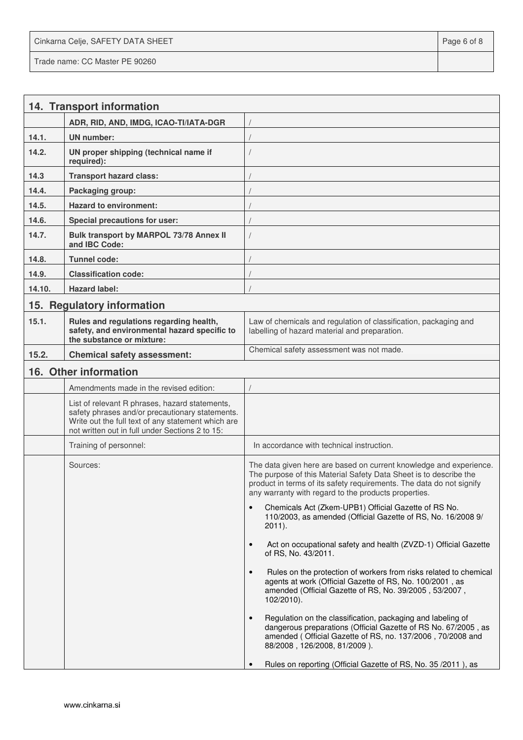Cinkarna Celje, SAFETY DATA SHEET **Page 6 of 8** and 2011 12 and 2012 12 and 2012 12 and 2012 12 and 2012 12 and 201 Trade name: CC Master PE 90260

|        | 14. Transport information                                                                                                                                                                                  |                                                                                                                                                                                                                                                                         |
|--------|------------------------------------------------------------------------------------------------------------------------------------------------------------------------------------------------------------|-------------------------------------------------------------------------------------------------------------------------------------------------------------------------------------------------------------------------------------------------------------------------|
|        | ADR, RID, AND, IMDG, ICAO-TI/IATA-DGR                                                                                                                                                                      |                                                                                                                                                                                                                                                                         |
| 14.1.  | <b>UN</b> number:                                                                                                                                                                                          |                                                                                                                                                                                                                                                                         |
| 14.2.  | UN proper shipping (technical name if<br>required):                                                                                                                                                        |                                                                                                                                                                                                                                                                         |
| 14.3   | <b>Transport hazard class:</b>                                                                                                                                                                             |                                                                                                                                                                                                                                                                         |
| 14.4.  | Packaging group:                                                                                                                                                                                           |                                                                                                                                                                                                                                                                         |
| 14.5.  | <b>Hazard to environment:</b>                                                                                                                                                                              |                                                                                                                                                                                                                                                                         |
| 14.6.  | Special precautions for user:                                                                                                                                                                              |                                                                                                                                                                                                                                                                         |
| 14.7.  | Bulk transport by MARPOL 73/78 Annex II<br>and IBC Code:                                                                                                                                                   |                                                                                                                                                                                                                                                                         |
| 14.8.  | <b>Tunnel code:</b>                                                                                                                                                                                        |                                                                                                                                                                                                                                                                         |
| 14.9.  | <b>Classification code:</b>                                                                                                                                                                                |                                                                                                                                                                                                                                                                         |
| 14.10. | <b>Hazard label:</b>                                                                                                                                                                                       |                                                                                                                                                                                                                                                                         |
|        | 15. Regulatory information                                                                                                                                                                                 |                                                                                                                                                                                                                                                                         |
| 15.1.  | Rules and regulations regarding health,<br>safety, and environmental hazard specific to<br>the substance or mixture:                                                                                       | Law of chemicals and regulation of classification, packaging and<br>labelling of hazard material and preparation.                                                                                                                                                       |
| 15.2.  | <b>Chemical safety assessment:</b>                                                                                                                                                                         | Chemical safety assessment was not made.                                                                                                                                                                                                                                |
|        | 16. Other information                                                                                                                                                                                      |                                                                                                                                                                                                                                                                         |
|        | Amendments made in the revised edition:                                                                                                                                                                    |                                                                                                                                                                                                                                                                         |
|        | List of relevant R phrases, hazard statements,<br>safety phrases and/or precautionary statements.<br>Write out the full text of any statement which are<br>not written out in full under Sections 2 to 15: |                                                                                                                                                                                                                                                                         |
|        | Training of personnel:                                                                                                                                                                                     | In accordance with technical instruction.                                                                                                                                                                                                                               |
|        | Sources:                                                                                                                                                                                                   | The data given here are based on current knowledge and experience.<br>The purpose of this Material Safety Data Sheet is to describe the<br>product in terms of its safety requirements. The data do not signify<br>any warranty with regard to the products properties. |
|        |                                                                                                                                                                                                            | Chemicals Act (Zkem-UPB1) Official Gazette of RS No.<br>$\bullet$<br>110/2003, as amended (Official Gazette of RS, No. 16/2008 9/<br>$2011$ ).                                                                                                                          |
|        |                                                                                                                                                                                                            | Act on occupational safety and health (ZVZD-1) Official Gazette<br>$\bullet$<br>of RS, No. 43/2011.                                                                                                                                                                     |
|        |                                                                                                                                                                                                            | Rules on the protection of workers from risks related to chemical<br>$\bullet$<br>agents at work (Official Gazette of RS, No. 100/2001, as<br>amended (Official Gazette of RS, No. 39/2005, 53/2007,<br>$102/2010$ ).                                                   |
|        |                                                                                                                                                                                                            | Regulation on the classification, packaging and labeling of<br>$\bullet$<br>dangerous preparations (Official Gazette of RS No. 67/2005, as<br>amended (Official Gazette of RS, no. 137/2006, 70/2008 and<br>88/2008, 126/2008, 81/2009).                                |
|        |                                                                                                                                                                                                            | Rules on reporting (Official Gazette of RS, No. 35/2011), as                                                                                                                                                                                                            |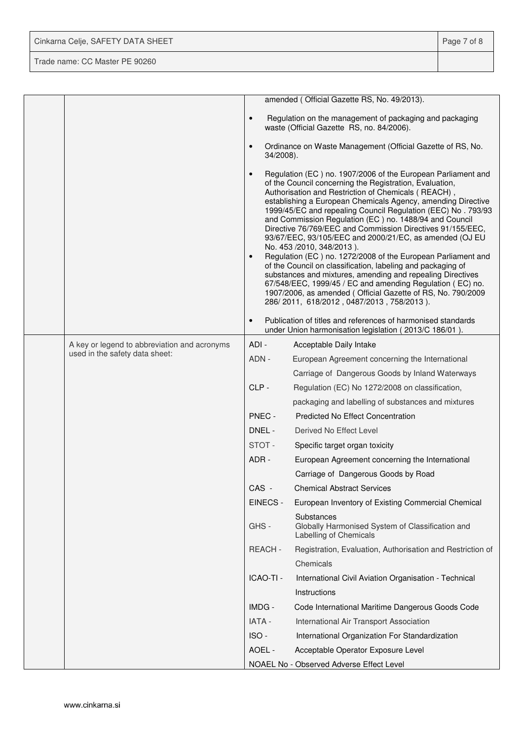| Cinkarna Celje, SAFETY DATA SHEET | Page 7 of 8 |
|-----------------------------------|-------------|
| Trade name: CC Master PE 90260    |             |

|  |                                              |                        | amended (Official Gazette RS, No. 49/2013).                                                                                                                                                                                                                                                                                                                                                                                                                                                                                                                                                                                                                                                                                                                                                                                                                                                          |
|--|----------------------------------------------|------------------------|------------------------------------------------------------------------------------------------------------------------------------------------------------------------------------------------------------------------------------------------------------------------------------------------------------------------------------------------------------------------------------------------------------------------------------------------------------------------------------------------------------------------------------------------------------------------------------------------------------------------------------------------------------------------------------------------------------------------------------------------------------------------------------------------------------------------------------------------------------------------------------------------------|
|  |                                              | $\bullet$              | Regulation on the management of packaging and packaging<br>waste (Official Gazette RS, no. 84/2006).                                                                                                                                                                                                                                                                                                                                                                                                                                                                                                                                                                                                                                                                                                                                                                                                 |
|  |                                              | $\bullet$<br>34/2008). | Ordinance on Waste Management (Official Gazette of RS, No.                                                                                                                                                                                                                                                                                                                                                                                                                                                                                                                                                                                                                                                                                                                                                                                                                                           |
|  |                                              | $\bullet$<br>$\bullet$ | Regulation (EC) no. 1907/2006 of the European Parliament and<br>of the Council concerning the Registration, Evaluation,<br>Authorisation and Restriction of Chemicals (REACH),<br>establishing a European Chemicals Agency, amending Directive<br>1999/45/EC and repealing Council Regulation (EEC) No. 793/93<br>and Commission Regulation (EC) no. 1488/94 and Council<br>Directive 76/769/EEC and Commission Directives 91/155/EEC,<br>93/67/EEC, 93/105/EEC and 2000/21/EC, as amended (OJ EU<br>No. 453 /2010, 348/2013).<br>Regulation (EC) no. 1272/2008 of the European Parliament and<br>of the Council on classification, labeling and packaging of<br>substances and mixtures, amending and repealing Directives<br>67/548/EEC, 1999/45 / EC and amending Regulation (EC) no.<br>1907/2006, as amended (Official Gazette of RS, No. 790/2009<br>286/2011, 618/2012, 0487/2013, 758/2013). |
|  |                                              | $\bullet$              | Publication of titles and references of harmonised standards<br>under Union harmonisation legislation (2013/C 186/01).                                                                                                                                                                                                                                                                                                                                                                                                                                                                                                                                                                                                                                                                                                                                                                               |
|  | A key or legend to abbreviation and acronyms | ADI-                   | Acceptable Daily Intake                                                                                                                                                                                                                                                                                                                                                                                                                                                                                                                                                                                                                                                                                                                                                                                                                                                                              |
|  | used in the safety data sheet:               | ADN -                  | European Agreement concerning the International                                                                                                                                                                                                                                                                                                                                                                                                                                                                                                                                                                                                                                                                                                                                                                                                                                                      |
|  |                                              |                        | Carriage of Dangerous Goods by Inland Waterways                                                                                                                                                                                                                                                                                                                                                                                                                                                                                                                                                                                                                                                                                                                                                                                                                                                      |
|  |                                              | CLP-                   | Regulation (EC) No 1272/2008 on classification,                                                                                                                                                                                                                                                                                                                                                                                                                                                                                                                                                                                                                                                                                                                                                                                                                                                      |
|  |                                              |                        | packaging and labelling of substances and mixtures                                                                                                                                                                                                                                                                                                                                                                                                                                                                                                                                                                                                                                                                                                                                                                                                                                                   |
|  |                                              | PNEC -                 | <b>Predicted No Effect Concentration</b>                                                                                                                                                                                                                                                                                                                                                                                                                                                                                                                                                                                                                                                                                                                                                                                                                                                             |
|  |                                              | DNEL -                 | Derived No Effect Level                                                                                                                                                                                                                                                                                                                                                                                                                                                                                                                                                                                                                                                                                                                                                                                                                                                                              |
|  |                                              | STOT-                  | Specific target organ toxicity                                                                                                                                                                                                                                                                                                                                                                                                                                                                                                                                                                                                                                                                                                                                                                                                                                                                       |
|  |                                              | ADR-                   | European Agreement concerning the International                                                                                                                                                                                                                                                                                                                                                                                                                                                                                                                                                                                                                                                                                                                                                                                                                                                      |
|  |                                              |                        | Carriage of Dangerous Goods by Road                                                                                                                                                                                                                                                                                                                                                                                                                                                                                                                                                                                                                                                                                                                                                                                                                                                                  |
|  |                                              | CAS -                  | <b>Chemical Abstract Services</b>                                                                                                                                                                                                                                                                                                                                                                                                                                                                                                                                                                                                                                                                                                                                                                                                                                                                    |
|  |                                              | EINECS -               | European Inventory of Existing Commercial Chemical                                                                                                                                                                                                                                                                                                                                                                                                                                                                                                                                                                                                                                                                                                                                                                                                                                                   |
|  |                                              | GHS-                   | Substances<br>Globally Harmonised System of Classification and<br>Labelling of Chemicals                                                                                                                                                                                                                                                                                                                                                                                                                                                                                                                                                                                                                                                                                                                                                                                                             |
|  |                                              | REACH-                 | Registration, Evaluation, Authorisation and Restriction of                                                                                                                                                                                                                                                                                                                                                                                                                                                                                                                                                                                                                                                                                                                                                                                                                                           |
|  |                                              |                        | Chemicals                                                                                                                                                                                                                                                                                                                                                                                                                                                                                                                                                                                                                                                                                                                                                                                                                                                                                            |
|  |                                              | ICAO-TI -              | International Civil Aviation Organisation - Technical                                                                                                                                                                                                                                                                                                                                                                                                                                                                                                                                                                                                                                                                                                                                                                                                                                                |
|  |                                              |                        | Instructions                                                                                                                                                                                                                                                                                                                                                                                                                                                                                                                                                                                                                                                                                                                                                                                                                                                                                         |
|  |                                              | IMDG -                 | Code International Maritime Dangerous Goods Code                                                                                                                                                                                                                                                                                                                                                                                                                                                                                                                                                                                                                                                                                                                                                                                                                                                     |
|  |                                              | IATA -                 | International Air Transport Association                                                                                                                                                                                                                                                                                                                                                                                                                                                                                                                                                                                                                                                                                                                                                                                                                                                              |
|  |                                              | ISO-                   | International Organization For Standardization                                                                                                                                                                                                                                                                                                                                                                                                                                                                                                                                                                                                                                                                                                                                                                                                                                                       |
|  |                                              | AOEL -                 | Acceptable Operator Exposure Level                                                                                                                                                                                                                                                                                                                                                                                                                                                                                                                                                                                                                                                                                                                                                                                                                                                                   |
|  |                                              |                        | NOAEL No - Observed Adverse Effect Level                                                                                                                                                                                                                                                                                                                                                                                                                                                                                                                                                                                                                                                                                                                                                                                                                                                             |